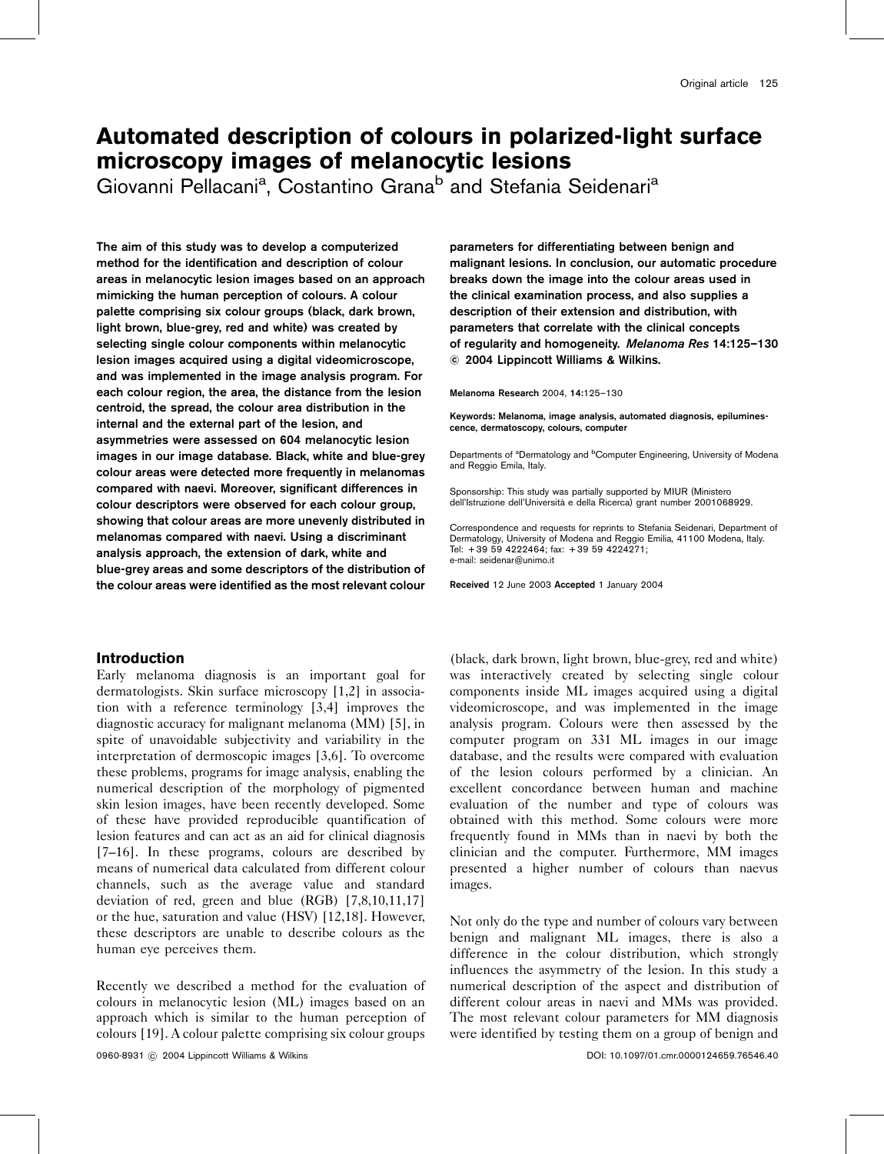# Automated description of colours in polarized-light surface microscopy images of melanocytic lesions

Giovanni Pellacani<sup>a</sup>, Costantino Grana<sup>b</sup> and Stefania Seidenari<sup>a</sup>

The aim of this study was to develop a computerized method for the identification and description of colour areas in melanocytic lesion images based on an approach mimicking the human perception of colours. A colour palette comprising six colour groups (black, dark brown, light brown, blue-grey, red and white) was created by selecting single colour components within melanocytic lesion images acquired using a digital videomicroscope, and was implemented in the image analysis program. For each colour region, the area, the distance from the lesion centroid, the spread, the colour area distribution in the internal and the external part of the lesion, and asymmetries were assessed on 604 melanocytic lesion images in our image database. Black, white and blue-grey colour areas were detected more frequently in melanomas compared with naevi. Moreover, significant differences in colour descriptors were observed for each colour group, showing that colour areas are more unevenly distributed in melanomas compared with naevi. Using a discriminant analysis approach, the extension of dark, white and blue-grey areas and some descriptors of the distribution of the colour areas were identified as the most relevant colour

# Introduction

Early melanoma diagnosis is an important goal for dermatologists. Skin surface microscopy [1,2] in association with a reference terminology [3,4] improves the diagnostic accuracy for malignant melanoma (MM) [5], in spite of unavoidable subjectivity and variability in the interpretation of dermoscopic images [3,6]. To overcome these problems, programs for image analysis, enabling the numerical description of the morphology of pigmented skin lesion images, have been recently developed. Some of these have provided reproducible quantification of lesion features and can act as an aid for clinical diagnosis [7–16]. In these programs, colours are described by means of numerical data calculated from different colour channels, such as the average value and standard deviation of red, green and blue (RGB) [7,8,10,11,17] or the hue, saturation and value (HSV) [12,18]. However, these descriptors are unable to describe colours as the human eye perceives them.

Recently we described a method for the evaluation of colours in melanocytic lesion (ML) images based on an approach which is similar to the human perception of colours [19]. A colour palette comprising six colour groups

parameters for differentiating between benign and malignant lesions. In conclusion, our automatic procedure breaks down the image into the colour areas used in the clinical examination process, and also supplies a description of their extension and distribution, with parameters that correlate with the clinical concepts of regularity and homogeneity. Melanoma Res 14:125–130 c 2004 Lippincott Williams & Wilkins.

Melanoma Research 2004, 14:125–130

Keywords: Melanoma, image analysis, automated diagnosis, epiluminescence, dermatoscopy, colours, computer

Departments of <sup>a</sup>Dermatology and <sup>b</sup>Computer Engineering, University of Modena and Reggio Emila, Italy.

Sponsorship: This study was partially supported by MIUR (Ministero dell'Istruzione dell'Università e della Ricerca) grant number 2001068929.

Correspondence and requests for reprints to Stefania Seidenari, Department of Dermatology, University of Modena and Reggio Emilia, 41100 Modena, Italy. Tel: + 39 59 4222464; fax: + 39 59 4224271; e-mail: seidenar@unimo.it

Received 12 June 2003 Accepted 1 January 2004

(black, dark brown, light brown, blue-grey, red and white) was interactively created by selecting single colour components inside ML images acquired using a digital videomicroscope, and was implemented in the image analysis program. Colours were then assessed by the computer program on 331 ML images in our image database, and the results were compared with evaluation of the lesion colours performed by a clinician. An excellent concordance between human and machine evaluation of the number and type of colours was obtained with this method. Some colours were more frequently found in MMs than in naevi by both the clinician and the computer. Furthermore, MM images presented a higher number of colours than naevus images.

Not only do the type and number of colours vary between benign and malignant ML images, there is also a difference in the colour distribution, which strongly influences the asymmetry of the lesion. In this study a numerical description of the aspect and distribution of different colour areas in naevi and MMs was provided. The most relevant colour parameters for MM diagnosis were identified by testing them on a group of benign and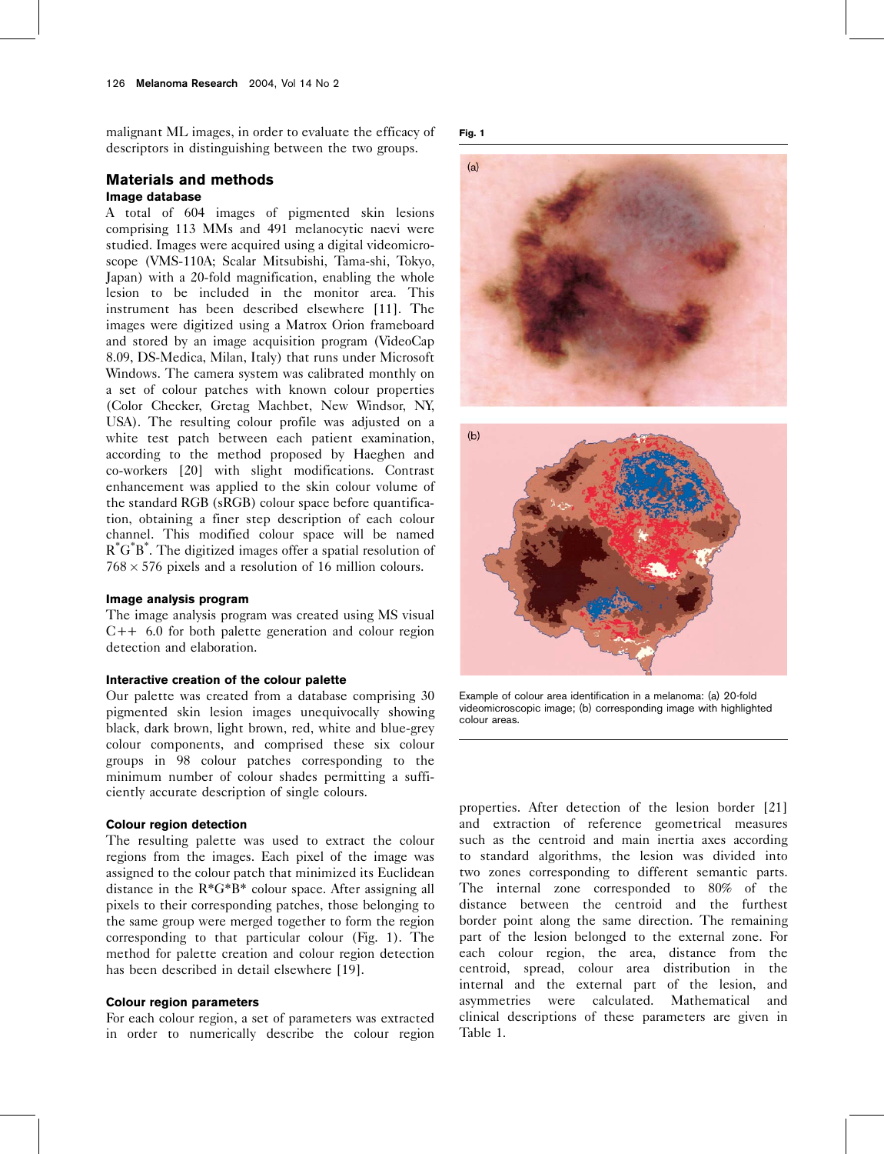malignant ML images, in order to evaluate the efficacy of descriptors in distinguishing between the two groups.

### Materials and methods Image database

A total of 604 images of pigmented skin lesions comprising 113 MMs and 491 melanocytic naevi were studied. Images were acquired using a digital videomicroscope (VMS-110A; Scalar Mitsubishi, Tama-shi, Tokyo, Japan) with a 20-fold magnification, enabling the whole lesion to be included in the monitor area. This instrument has been described elsewhere [11]. The images were digitized using a Matrox Orion frameboard and stored by an image acquisition program (VideoCap 8.09, DS-Medica, Milan, Italy) that runs under Microsoft Windows. The camera system was calibrated monthly on a set of colour patches with known colour properties (Color Checker, Gretag Machbet, New Windsor, NY, USA). The resulting colour profile was adjusted on a white test patch between each patient examination, according to the method proposed by Haeghen and co-workers [20] with slight modifications. Contrast enhancement was applied to the skin colour volume of the standard RGB (sRGB) colour space before quantification, obtaining a finer step description of each colour channel. This modified colour space will be named R<sup>\*</sup>G<sup>\*</sup>B<sup>\*</sup>. The digitized images offer a spatial resolution of  $768 \times 576$  pixels and a resolution of 16 million colours.

#### Image analysis program

The image analysis program was created using MS visual C++ 6.0 for both palette generation and colour region detection and elaboration.

#### Interactive creation of the colour palette

Our palette was created from a database comprising 30 pigmented skin lesion images unequivocally showing black, dark brown, light brown, red, white and blue-grey colour components, and comprised these six colour groups in 98 colour patches corresponding to the minimum number of colour shades permitting a sufficiently accurate description of single colours.

#### Colour region detection

The resulting palette was used to extract the colour regions from the images. Each pixel of the image was assigned to the colour patch that minimized its Euclidean distance in the R\*G\*B\* colour space. After assigning all pixels to their corresponding patches, those belonging to the same group were merged together to form the region corresponding to that particular colour (Fig. 1). The method for palette creation and colour region detection has been described in detail elsewhere [19].

#### Colour region parameters

For each colour region, a set of parameters was extracted in order to numerically describe the colour region Fig. 1





Example of colour area identification in a melanoma: (a) 20-fold videomicroscopic image; (b) corresponding image with highlighted colour areas.

properties. After detection of the lesion border [21] and extraction of reference geometrical measures such as the centroid and main inertia axes according to standard algorithms, the lesion was divided into two zones corresponding to different semantic parts. The internal zone corresponded to 80% of the distance between the centroid and the furthest border point along the same direction. The remaining part of the lesion belonged to the external zone. For each colour region, the area, distance from the centroid, spread, colour area distribution in the internal and the external part of the lesion, and asymmetries were calculated. Mathematical and clinical descriptions of these parameters are given in Table 1.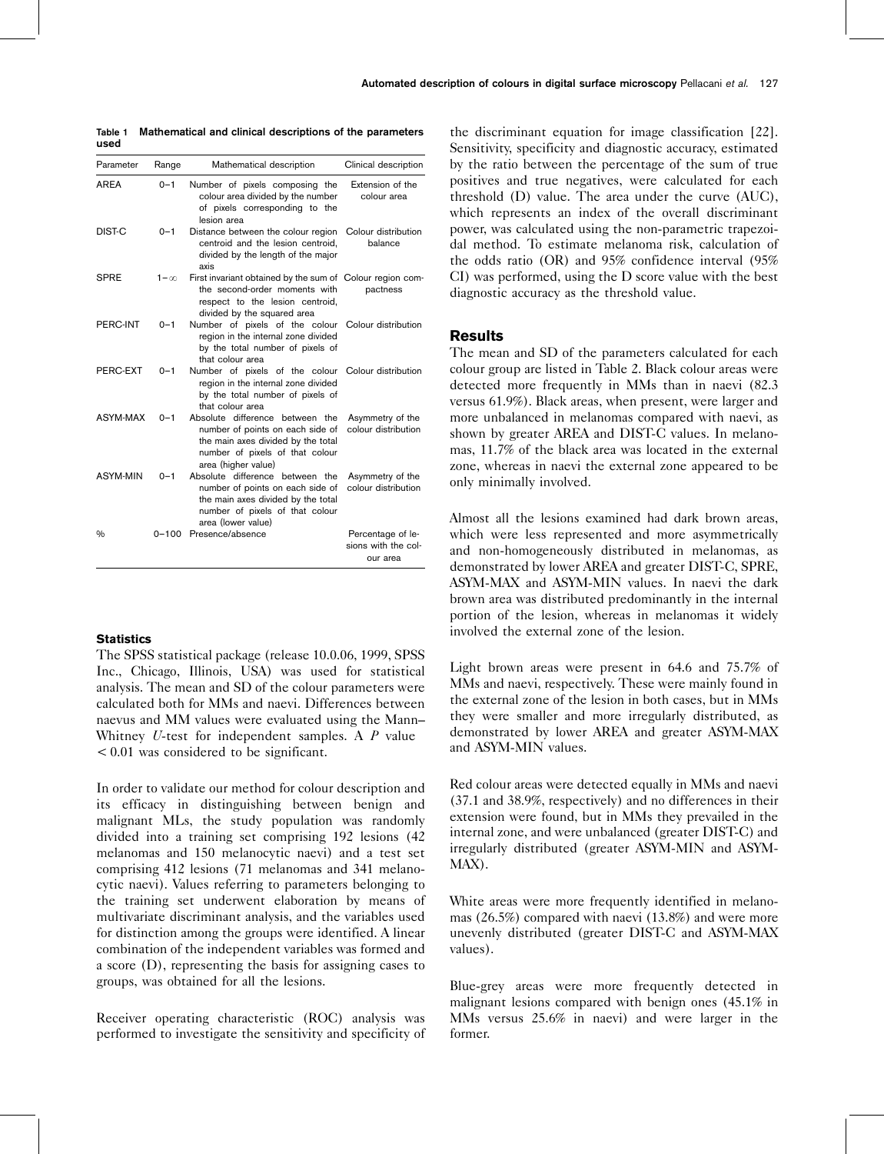#### Table 1 Mathematical and clinical descriptions of the parameters used

| Parameter       | Range   | Mathematical description                                                                                                                                            | Clinical description                                 |
|-----------------|---------|---------------------------------------------------------------------------------------------------------------------------------------------------------------------|------------------------------------------------------|
| AREA            | $0 - 1$ | Number of pixels composing the<br>colour area divided by the number<br>of pixels corresponding to the<br>lesion area                                                | Extension of the<br>colour area                      |
| DIST-C          | $0 - 1$ | Distance between the colour region<br>centroid and the lesion centroid.<br>divided by the length of the major<br>axis                                               | Colour distribution<br>balance                       |
| <b>SPRE</b>     | 1−∞     | First invariant obtained by the sum of Colour region com-<br>the second-order moments with<br>respect to the lesion centroid,<br>divided by the squared area        | pactness                                             |
| PERC-INT        | $0 - 1$ | Number of pixels of the colour<br>region in the internal zone divided<br>by the total number of pixels of<br>that colour area                                       | Colour distribution                                  |
| PERC-EXT        | $0 - 1$ | Number of pixels of the colour<br>region in the internal zone divided<br>by the total number of pixels of<br>that colour area                                       | Colour distribution                                  |
| ASYM-MAX        | $0 - 1$ | Absolute difference between the<br>number of points on each side of<br>the main axes divided by the total<br>number of pixels of that colour<br>area (higher value) | Asymmetry of the<br>colour distribution              |
| <b>ASYM-MIN</b> | $0 - 1$ | Absolute difference between the<br>number of points on each side of<br>the main axes divided by the total<br>number of pixels of that colour<br>area (lower value)  | Asymmetry of the<br>colour distribution              |
| $\%$            |         | 0-100 Presence/absence                                                                                                                                              | Percentage of le-<br>sions with the col-<br>our area |

#### **Statistics**

The SPSS statistical package (release 10.0.06, 1999, SPSS Inc., Chicago, Illinois, USA) was used for statistical analysis. The mean and SD of the colour parameters were calculated both for MMs and naevi. Differences between naevus and MM values were evaluated using the Mann– Whitney  $U$ -test for independent samples. A  $P$  value < 0.01 was considered to be significant.

In order to validate our method for colour description and its efficacy in distinguishing between benign and malignant MLs, the study population was randomly divided into a training set comprising 192 lesions (42 melanomas and 150 melanocytic naevi) and a test set comprising 412 lesions (71 melanomas and 341 melanocytic naevi). Values referring to parameters belonging to the training set underwent elaboration by means of multivariate discriminant analysis, and the variables used for distinction among the groups were identified. A linear combination of the independent variables was formed and a score (D), representing the basis for assigning cases to groups, was obtained for all the lesions.

Receiver operating characteristic (ROC) analysis was performed to investigate the sensitivity and specificity of the discriminant equation for image classification [22]. Sensitivity, specificity and diagnostic accuracy, estimated by the ratio between the percentage of the sum of true positives and true negatives, were calculated for each threshold (D) value. The area under the curve (AUC), which represents an index of the overall discriminant power, was calculated using the non-parametric trapezoidal method. To estimate melanoma risk, calculation of the odds ratio (OR) and 95% confidence interval (95% CI) was performed, using the D score value with the best diagnostic accuracy as the threshold value.

## **Results**

The mean and SD of the parameters calculated for each colour group are listed in Table 2. Black colour areas were detected more frequently in MMs than in naevi (82.3 versus 61.9%). Black areas, when present, were larger and more unbalanced in melanomas compared with naevi, as shown by greater AREA and DIST-C values. In melanomas, 11.7% of the black area was located in the external zone, whereas in naevi the external zone appeared to be only minimally involved.

Almost all the lesions examined had dark brown areas, which were less represented and more asymmetrically and non-homogeneously distributed in melanomas, as demonstrated by lower AREA and greater DIST-C, SPRE, ASYM-MAX and ASYM-MIN values. In naevi the dark brown area was distributed predominantly in the internal portion of the lesion, whereas in melanomas it widely involved the external zone of the lesion.

Light brown areas were present in 64.6 and 75.7% of MMs and naevi, respectively. These were mainly found in the external zone of the lesion in both cases, but in MMs they were smaller and more irregularly distributed, as demonstrated by lower AREA and greater ASYM-MAX and ASYM-MIN values.

Red colour areas were detected equally in MMs and naevi (37.1 and 38.9%, respectively) and no differences in their extension were found, but in MMs they prevailed in the internal zone, and were unbalanced (greater DIST-C) and irregularly distributed (greater ASYM-MIN and ASYM-MAX).

White areas were more frequently identified in melanomas (26.5%) compared with naevi (13.8%) and were more unevenly distributed (greater DIST-C and ASYM-MAX values).

Blue-grey areas were more frequently detected in malignant lesions compared with benign ones (45.1% in MMs versus 25.6% in naevi) and were larger in the former.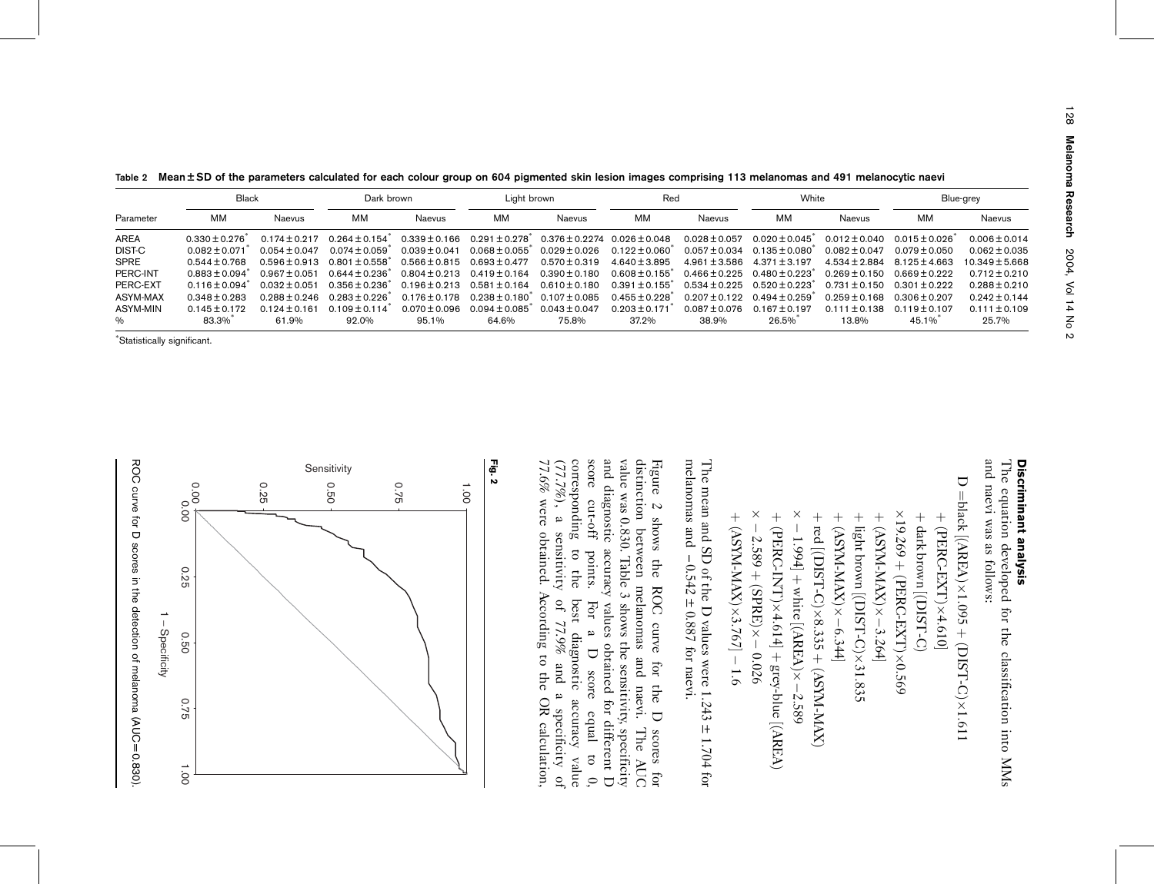|             |                 | <b>Black</b>    |                                | Dark brown        |                                                                          | Light brown       |                                | Red               |                                     | White                               |                                     | Blue-grey         |  |
|-------------|-----------------|-----------------|--------------------------------|-------------------|--------------------------------------------------------------------------|-------------------|--------------------------------|-------------------|-------------------------------------|-------------------------------------|-------------------------------------|-------------------|--|
| Parameter   | <b>MM</b>       | Naevus          | MM                             | Naevus            | <b>MM</b>                                                                | Naevus            | MM                             | Naevus            | MМ                                  | Naevus                              | <b>MM</b>                           | <b>Naevus</b>     |  |
| AREA        | $0.330 + 0.276$ | $0.174 + 0.217$ | $0.264 \pm 0.154$ <sup>*</sup> |                   | $0.339 \pm 0.166$ $0.291 \pm 0.278$ $0.376 \pm 0.2274$ $0.026 \pm 0.048$ |                   |                                | $0.028 \pm 0.057$ | $0.020 \pm 0.045$ <sup>*</sup>      |                                     | $0.012 \pm 0.040$ $0.015 \pm 0.026$ | $0.006 \pm 0.014$ |  |
| DIST-C      | $0.082 + 0.071$ | $0.054 + 0.047$ | $0.074 + 0.059$                | $0.039 \pm 0.041$ | $0.068 \pm 0.055$ $0.029 \pm 0.026$                                      |                   | $0.122 \pm 0.060^{\circ}$      | $0.057 \pm 0.034$ | $0.135 + 0.080^{\circ}$             | $0.082 \pm 0.047$                   | $0.079 \pm 0.050$                   | $0.062 \pm 0.035$ |  |
| <b>SPRE</b> | $0.544 + 0.768$ | $0.596 + 0.913$ | $0.801 + 0.558$                | 0.566+0.815       | $0.693 \pm 0.477$                                                        | $0.570 + 0.319$   | $4.640 \pm 3.895$              |                   | $4.961 \pm 3.586$ $4.371 \pm 3.197$ | $4.534 \pm 2.884$                   | 8.125 + 4.663                       | $10.349 + 5.668$  |  |
| PERC-INT    | $0.883 + 0.094$ | $0.967 + 0.051$ | $0.644 + 0.236$                |                   | $0.804 \pm 0.213$ $0.419 \pm 0.164$                                      | $0.390 \pm 0.180$ | $0.608 \pm 0.155$ <sup>*</sup> |                   | $0.466 \pm 0.225$ $0.480 \pm 0.223$ | $0.269 \pm 0.150$                   | 0.669 + 0.222                       | $0.712 \pm 0.210$ |  |
| PERC-EXT    | $0.116 + 0.094$ | $0.032 + 0.051$ | $0.356 + 0.236$                |                   | $0.196 \pm 0.213$ $0.581 \pm 0.164$                                      | $0.610 \pm 0.180$ | $0.391 \pm 0.155$ <sup>*</sup> | $0.534 \pm 0.225$ | $0.520 \pm 0.223$                   | $0.731 \pm 0.150$ $0.301 \pm 0.222$ |                                     | $0.288 \pm 0.210$ |  |
| ASYM-MAX    | $0.348 + 0.283$ | $0.288 + 0.246$ | $0.283 + 0.226$                | $0.176 \pm 0.178$ | $0.238 \pm 0.180$                                                        | $0.107 \pm 0.085$ | $0.455 \pm 0.228$              | $0.207 \pm 0.122$ | $0.494 \pm 0.259$                   | $0.259 \pm 0.168$                   | $0.306 + 0.207$                     | $0.242 \pm 0.144$ |  |
| ASYM-MIN    | $0.145 + 0.172$ | $0.124 + 0.161$ | $0.109 + 0.114$                | $0.070 + 0.096$   | $0.094 \pm 0.085$                                                        | $0.043 \pm 0.047$ | $0.203 \pm 0.171$              | $0.087 \pm 0.076$ | $0.167 + 0.197$                     | $0.111 \pm 0.138$                   | $0.119 \pm 0.107$                   | $0.111 \pm 0.109$ |  |
| $\%$        | 83.3%           | 61.9%           | 92.0%                          | 95.1%             | 64.6%                                                                    | 75.8%             | 37.2%                          | 38.9%             | 26.5%                               | 13.8%                               | 45.1%                               | 25.7%             |  |

Table 2 Mean ± SD of the parameters calculated for each colour group on 604 pigmented skin lesion images comprising 113 melanomas and 491 melanocytic naevi

\*Statistically significant.



Discriminant analysis<br>The equation developed for the classification into MMs<br>and naevi was as follows: The mean and SD of the D values were  $1.243 \pm 1.704$  for and naevi was as follows: The equation developed for the classification into MMs  $\times$  $\times$  $61 \times$  $\overline{\phantom{a}}$  $\overline{\phantom{a}}$  $\boldsymbol{+}$  $\overline{\phantom{a}}$  $\boldsymbol{+}$  $\overline{\phantom{a}}$  $\boldsymbol{+}$  $\overline{\phantom{a}}$  $-2.589$  1 :994red light brown dark brown ASYM-MAXPERC-INTASYM-MAXASYM-MAXPERC-EXT:269 ½ðDIST-C $\overline{\phantom{a}}$  $\overline{+}$  $\overline{a}$ PERC-EXT 1 :095 white **SPRE** ½ðDIST-C Þ ½ðDIST-C $\times 4.614$  $(x + 610)$  $\times 3.767$  $\times -6.344$  $\times -3.264$  $\times 8.335$  $\times -0.026$ VERV)]  $\overline{a}$  $\overline{+}$ DIST-C $-1.6$  $\widetilde{\times}$  $\times 0.569$  $\overline{a}$ 31 :835 grey-blue  $\times -2.589$ ASYM-MAX  $(x1.611)$  $[\left(\mathrm{ARV}\right)]$ Þ

melanomas and  $-0.542 \pm 0.887$  for naevi. melanomas and  $-0.542 \pm 0.887$  for naevi. The mean and SD of the D values were  $1.243 \pm 1.704$  for

best diagnostic accuracy value For a D score equal to  $\mathbf{c}$ 

score cut-off and diagnostic accuracy values obtained for different D value was 0.830. Table 3 shows the sensitivity, specificity distinction between melanomas and naevi. The AUC score cut-off points. For a D score equal to 0, and diagnostic accuracy values obtained for different D value was 0.830. Table 3 shows the sensitivity, specificity distinction between melanomas and naevi. The AUC Figure 2 shows the ROC curve for the D scores for Figure 2 shows the ROC curve for the D scores for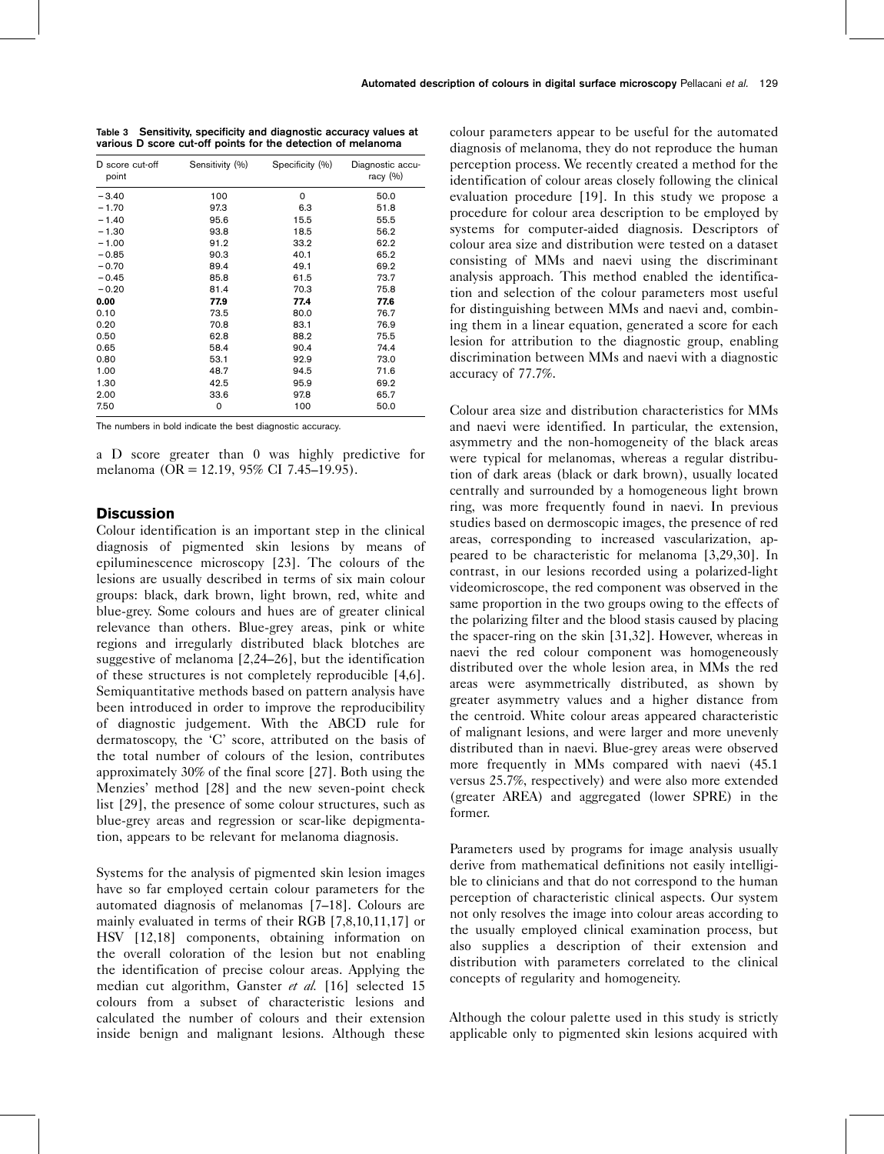Table 3 Sensitivity, specificity and diagnostic accuracy values at various D score cut-off points for the detection of melanoma

| D score cut-off<br>point | Sensitivity (%) | Specificity (%) | Diagnostic accu-<br>racy $(\% )$ |
|--------------------------|-----------------|-----------------|----------------------------------|
| $-3.40$                  | 100             | 0               | 50.0                             |
| $-1.70$                  | 97.3            | 6.3             | 51.8                             |
| $-1.40$                  | 95.6            | 15.5            | 55.5                             |
| $-1.30$                  | 93.8            | 18.5            | 56.2                             |
| $-1.00$                  | 91.2            | 33.2            | 62.2                             |
| $-0.85$                  | 90.3            | 40.1            | 65.2                             |
| $-0.70$                  | 89.4            | 49.1            | 69.2                             |
| $-0.45$                  | 85.8            | 61.5            | 73.7                             |
| $-0.20$                  | 81.4            | 70.3            | 75.8                             |
| 0.00                     | 77.9            | 77.4            | 77.6                             |
| 0.10                     | 73.5            | 80.0            | 76.7                             |
| 0.20                     | 70.8            | 83.1            | 76.9                             |
| 0.50                     | 62.8            | 88.2            | 75.5                             |
| 0.65                     | 58.4            | 90.4            | 74.4                             |
| 0.80                     | 53.1            | 92.9            | 73.0                             |
| 1.00                     | 48.7            | 94.5            | 71.6                             |
| 1.30                     | 42.5            | 95.9            | 69.2                             |
| 2.00                     | 33.6            | 97.8            | 65.7                             |
| 7.50                     | 0               | 100             | 50.0                             |

The numbers in bold indicate the best diagnostic accuracy.

a D score greater than 0 was highly predictive for melanoma (OR = 12.19, 95% CI 7.45–19.95).

## **Discussion**

Colour identification is an important step in the clinical diagnosis of pigmented skin lesions by means of epiluminescence microscopy [23]. The colours of the lesions are usually described in terms of six main colour groups: black, dark brown, light brown, red, white and blue-grey. Some colours and hues are of greater clinical relevance than others. Blue-grey areas, pink or white regions and irregularly distributed black blotches are suggestive of melanoma [2,24–26], but the identification of these structures is not completely reproducible [4,6]. Semiquantitative methods based on pattern analysis have been introduced in order to improve the reproducibility of diagnostic judgement. With the ABCD rule for dermatoscopy, the 'C' score, attributed on the basis of the total number of colours of the lesion, contributes approximately 30% of the final score [27]. Both using the Menzies' method [28] and the new seven-point check list [29], the presence of some colour structures, such as blue-grey areas and regression or scar-like depigmentation, appears to be relevant for melanoma diagnosis.

Systems for the analysis of pigmented skin lesion images have so far employed certain colour parameters for the automated diagnosis of melanomas [7–18]. Colours are mainly evaluated in terms of their RGB [7,8,10,11,17] or HSV [12,18] components, obtaining information on the overall coloration of the lesion but not enabling the identification of precise colour areas. Applying the median cut algorithm, Ganster et al. [16] selected 15 colours from a subset of characteristic lesions and calculated the number of colours and their extension inside benign and malignant lesions. Although these

colour parameters appear to be useful for the automated diagnosis of melanoma, they do not reproduce the human perception process. We recently created a method for the identification of colour areas closely following the clinical evaluation procedure [19]. In this study we propose a procedure for colour area description to be employed by systems for computer-aided diagnosis. Descriptors of colour area size and distribution were tested on a dataset consisting of MMs and naevi using the discriminant analysis approach. This method enabled the identification and selection of the colour parameters most useful for distinguishing between MMs and naevi and, combining them in a linear equation, generated a score for each lesion for attribution to the diagnostic group, enabling discrimination between MMs and naevi with a diagnostic accuracy of 77.7%.

Colour area size and distribution characteristics for MMs and naevi were identified. In particular, the extension, asymmetry and the non-homogeneity of the black areas were typical for melanomas, whereas a regular distribution of dark areas (black or dark brown), usually located centrally and surrounded by a homogeneous light brown ring, was more frequently found in naevi. In previous studies based on dermoscopic images, the presence of red areas, corresponding to increased vascularization, appeared to be characteristic for melanoma [3,29,30]. In contrast, in our lesions recorded using a polarized-light videomicroscope, the red component was observed in the same proportion in the two groups owing to the effects of the polarizing filter and the blood stasis caused by placing the spacer-ring on the skin [31,32]. However, whereas in naevi the red colour component was homogeneously distributed over the whole lesion area, in MMs the red areas were asymmetrically distributed, as shown by greater asymmetry values and a higher distance from the centroid. White colour areas appeared characteristic of malignant lesions, and were larger and more unevenly distributed than in naevi. Blue-grey areas were observed more frequently in MMs compared with naevi (45.1 versus 25.7%, respectively) and were also more extended (greater AREA) and aggregated (lower SPRE) in the former.

Parameters used by programs for image analysis usually derive from mathematical definitions not easily intelligible to clinicians and that do not correspond to the human perception of characteristic clinical aspects. Our system not only resolves the image into colour areas according to the usually employed clinical examination process, but also supplies a description of their extension and distribution with parameters correlated to the clinical concepts of regularity and homogeneity.

Although the colour palette used in this study is strictly applicable only to pigmented skin lesions acquired with